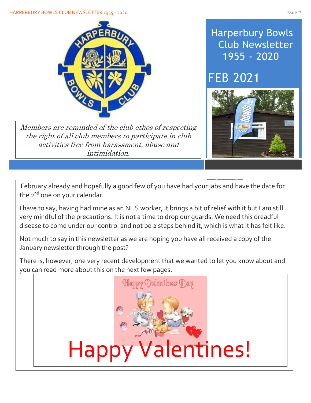## HARPERBURY BOWLS CLUB NEWSLETTER 1955 - 2020 ISSUE # 1975 - 2020



Members are reminded of the club ethos of respecting the right of all club members to participate in club activities free from harassment, abuse and intimidation.

## Harperbury Bowls Club Newsletter 1955 - 2020

## FEB 2021



February already and hopefully a good few of you have had your jabs and have the date for the 2<sup>nd</sup> one on your calendar.

I have to say, having had mine as an NHS worker, it brings a bit of relief with it but I am still very mindful of the precautions. It is not a time to drop our guards. We need this dreadful disease to come under our control and not be 2 steps behind it, which is what it has felt like.

Not much to say in this newsletter as we are hoping you have all received a copy of the January newsletter through the post?

you can read more about this on the next few pages. There is, however, one very recent development that we wanted to let you know about and

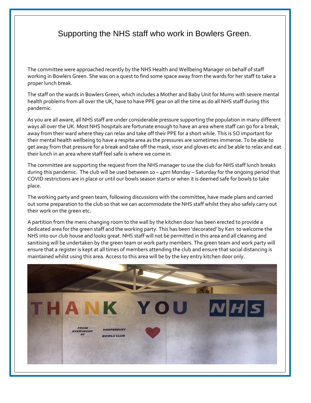## Supporting the NHS staff who work in Bowlers Green.

Í

The committee were approached recently by the NHS Health and Wellbeing Manager on behalf of staff working in Bowlers Green. She was on a quest to find some space away from the wards for her staff to take a proper lunch break.

The staff on the wards in Bowlers Green, which includes a Mother and Baby Unit for Mums with severe mental health problems from all over the UK, have to have PPE gear on all the time as do all NHS staff during this pandemic.

As you are all aware, all NHS staff are under considerable pressure supporting the population in many different ways all over the UK. Most NHS hospitals are fortunate enough to have an area where staff can go for a break, away from their ward where they can relax and take off their PPE for a short while. This is SO important for their mental health wellbeing to have a respite area as the pressures are sometimes immense. To be able to get away from that pressure for a break and take off the mask, visor and gloves etc and be able to relax and eat their lunch in an area where staff feel safe is where we come in.

The committee are supporting the request from the NHS manager to use the club for NHS staff lunch breaks during this pandemic. The club will be used between 10 – 4pm Monday – Saturday for the ongoing period that COVID restrictions are in place or until our bowls season starts or when it is deemed safe for bowls to take place.

The working party and green team, following discussions with the committee, have made plans and carried out some preparation to the club so that we can accommodate the NHS staff whilst they also safely carry out their work on the green etc.

A partition from the mens changing room to the wall by the kitchen door has been erected to provide a dedicated area for the green staff and the working party. This has been 'decorated' by Ken to welcome the NHS into our club house and looks great. NHS staff will not be permitted in this area and all cleaning and sanitising will be undertaken by the green team or work party members. The green team and work party will ensure that a register is kept at all times of members attending the club and ensure that social distancing is maintained whilst using this area. Access to this area will be by the key entry kitchen door only.